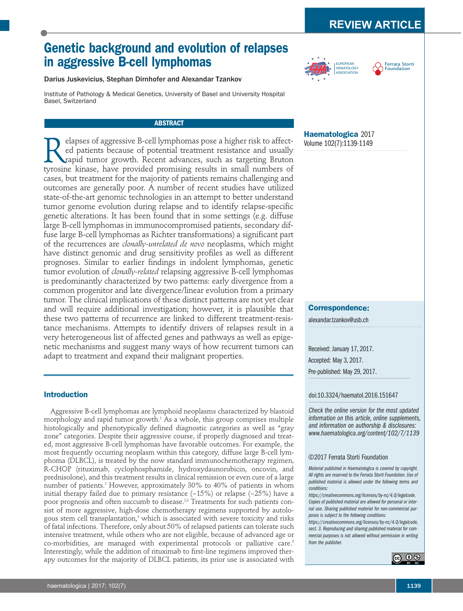EUROPEAN **Ferrata Sto** 

Ferrata Storti

# **Genetic background and evolution of relapses in aggressive B-cell lymphomas**

## Darius Juskevicius, Stephan Dirnhofer and Alexandar Tzankov

Institute of Pathology & Medical Genetics, University of Basel and University Hospital Basel, Switzerland

# **ABSTRACT**

Relapses of aggressive B-cell lymphomas pose a higher risk to affected patients because of potential treatment resistance and usually rapid tumor growth. Recent advances, such as targeting Bruton tyrosine kinase, have prov ed patients because of potential treatment resistance and usually rapid tumor growth. Recent advances, such as targeting Bruton tyrosine kinase, have provided promising results in small numbers of cases, but treatment for the majority of patients remains challenging and outcomes are generally poor. A number of recent studies have utilized state-of-the-art genomic technologies in an attempt to better understand tumor genome evolution during relapse and to identify relapse-specific genetic alterations. It has been found that in some settings (e.g. diffuse large B-cell lymphomas in immunocompromised patients, secondary diffuse large B-cell lymphomas as Richter transformations) a significant part of the recurrences are *clonally-unrelated de novo* neoplasms, which might have distinct genomic and drug sensitivity profiles as well as different prognoses. Similar to earlier findings in indolent lymphomas, genetic tumor evolution of *clonally-related* relapsing aggressive B-cell lymphomas is predominantly characterized by two patterns: early divergence from a common progenitor and late divergence/linear evolution from a primary tumor. The clinical implications of these distinct patterns are not yet clear and will require additional investigation; however, it is plausible that these two patterns of recurrence are linked to different treatment-resistance mechanisms. Attempts to identify drivers of relapses result in a very heterogeneous list of affected genes and pathways as well as epigenetic mechanisms and suggest many ways of how recurrent tumors can adapt to treatment and expand their malignant properties.

## **Introduction**

Aggressive B-cell lymphomas are lymphoid neoplasms characterized by blastoid morphology and rapid tumor growth.<sup>1</sup> As a whole, this group comprises multiple histologically and phenotypically defined diagnostic categories as well as "gray zone" categories. Despite their aggressive course, if properly diagnosed and treated, most aggressive B-cell lymphomas have favorable outcomes. For example, the most frequently occurring neoplasm within this category, diffuse large B-cell lymphoma (DLBCL), is treated by the now standard immunochemotherapy regimen, R-CHOP (rituximab, cyclophosphamide, hydroxydaunorubicin, oncovin, and prednisolone), and this treatment results in clinical remission or even cure of a large number of patients.<sup>2</sup> However, approximately 30% to 40% of patients in whom initial therapy failed due to primary resistance  $(\sim 15\%)$  or relapse  $(\sim 25\%)$  have a poor prognosis and often succumb to disease.<sup>2,3</sup> Treatments for such patients consist of more aggressive, high-dose chemotherapy regimens supported by autologous stem cell transplantation,4 which is associated with severe toxicity and risks of fatal infections. Therefore, only about 50% of relapsed patients can tolerate such intensive treatment, while others who are not eligible, because of advanced age or co-morbidities, are managed with experimental protocols or palliative care.<sup>5</sup> Interestingly, while the addition of rituximab to first-line regimens improved therapy outcomes for the majority of DLBCL patients, its prior use is associated with

# **Haematologica** 2017 Volume 102(7):1139-1149

HEMATOLOGY **ASSOCIATION** 

### **Correspondence:**

alexandar.tzankov@usb.ch

Received: January 17, 2017. Accepted: May 3, 2017. Pre-published: May 29, 2017.

#### doi:10.3324/haematol.2016.151647

*Check the online version for the most updated information on this article, online supplements, and information on authorship & disclosures: www.haematologica.org/content/102/7/1139*

#### ©2017 Ferrata Storti Foundation

*Material published in Haematologica is covered by copyright. All rights are reserved to the Ferrata Storti Foundation. Use of published material is allowed under the following terms and conditions:* 

*https://creativecommons.org/licenses/by-nc/4.0/legalcode. Copies of published material are allowed for personal or internal use. Sharing published material for non-commercial purposes is subject to the following conditions:* 

*https://creativecommons.org/licenses/by-nc/4.0/legalcode, sect. 3. Reproducing and sharing published material for commercial purposes is not allowed without permission in writing from the publisher.*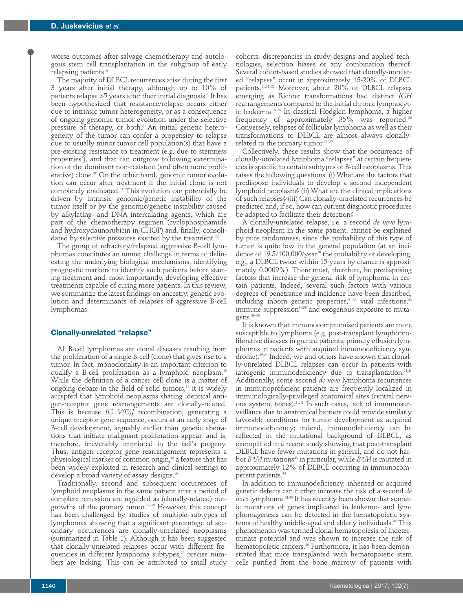worse outcomes after salvage chemotherapy and autologous stem cell transplantation in the subgroup of early relapsing patients.<sup>6</sup>

The majority of DLBCL recurrences arise during the first 3 years after initial therapy, although up to 10% of patients relapse  $>5$  years after their initial diagnosis.<sup>7</sup> It has been hypothesized that resistance/relapse occurs either due to intrinsic tumor heterogeneity, or as a consequence of ongoing genomic tumor evolution under the selective pressure of therapy, or both.<sup>8</sup> An initial genetic heterogeneity of the tumor can confer a propensity to relapse due to usually minor tumor cell population(s) that have a pre-existing resistance to treatment (e.g. due to stemness properties'), and that can outgrow following extermination of the dominant non-resistant (and often more proliferative) clone.<sup>10</sup> On the other hand, genomic tumor evolution can occur after treatment if the initial clone is not completely eradicated.11 This evolution can potentially be driven by intrinsic genomic/genetic instability of the tumor itself or by the genomic/genetic instability caused by alkylating- and DNA intercalating agents, which are part of the chemotherapy regimen (cyclophosphamide and hydroxydaunorubicin in CHOP) and, finally, consolidated by selective pressures exerted by the treatment.<sup>12</sup>

The group of refractory/relapsed aggressive B-cell lymphomas constitutes an unmet challenge in terms of delineating the underlying biological mechanisms, identifying prognostic markers to identify such patients before starting treatment and, most importantly, developing effective treatments capable of curing more patients. In this review, we summarize the latest findings on ancestry, genetic evolution and determinants of relapses of aggressive B-cell lymphomas.

#### **Clonally-unrelated "relapse"**

All B-cell lymphomas are clonal diseases resulting from the proliferation of a single B-cell (clone) that gives rise to a tumor. In fact, monoclonality is an important criterion to qualify a B-cell proliferation as a lymphoid neoplasm.13 While the definition of a cancer cell clone is a matter of ongoing debate in the field of solid tumors, $14$  it is widely accepted that lymphoid neoplasms sharing identical antigen-receptor gene rearrangements are clonally-related. This is because *IG V(D)J* recombination, generating a unique receptor gene sequence, occurs at an early stage of B-cell development, arguably earlier than genetic aberrations that initiate malignant proliferation appear, and is, therefore, irreversibly imprinted in the cell's progeny. Thus, antigen receptor gene rearrangement represents a physiological marker of common origin,15 a feature that has been widely exploited in research and clinical settings to develop a broad variety of assay designs.<sup>16</sup>

Traditionally, second and subsequent occurrences of lymphoid neoplasms in the same patient after a period of complete remission are regarded as (clonally-related) outgrowths of the primary tumor.17–19 However, this concept has been challenged by studies of multiple subtypes of lymphomas showing that a significant percentage of secondary occurrences are clonally-unrelated neoplasms (summarized in Table 1). Although it has been suggested that clonally-unrelated relapses occur with different frequencies in different lymphoma subtypes,<sup>20</sup> precise numbers are lacking. This can be attributed to small study

cohorts, discrepancies in study designs and applied technologies, selection biases or any combination thereof. Several cohort-based studies showed that clonally-unrelated "relapses" occur in approximately 15-20% of DLBCL patients.11,21–23 Moreover, about 20% of DLBCL relapses emerging as Richter transformations had distinct *IGH* rearrangements compared to the initial chronic lymphocytic leukemia.24,25 In classical Hodgkin lymphoma, a higher frequency of approximately  $35\%$  was reported.<sup>26</sup> Conversely, relapses of follicular lymphoma as well as their transformations to DLBCL are almost always clonallyrelated to the primary tumor.<sup>27-29</sup>

Collectively, these results show that the occurrence of clonally-unrelated lymphoma "relapses" at certain frequencies is specific to certain subtypes of B-cell neoplasms. This raises the following questions. (i) What are the factors that predispose individuals to develop a second independent lymphoid neoplasm? (ii) What are the clinical implications of such relapses? (iii) Can clonally-unrelated recurrences be predicted and, if so, how can current diagnostic procedures be adapted to facilitate their detection?

A clonally-unrelated relapse, i.e. a second *de novo* lymphoid neoplasm in the same patient, cannot be explained by pure randomness, since the probability of this type of tumor is quite low in the general population (at an incidence of  $19.5/100,000$ /year<sup>30</sup> the probability of developing, e.g., a DLBCL twice within 15 years by chance is approximately 0.0009%). There must, therefore, be predisposing factors that increase the general risk of lymphoma in certain patients. Indeed, several such factors with various degrees of penetrance and incidence have been described, including inborn genetic properties, $31,32$  viral infections, $33$ immune suppression<sup>34,35</sup> and exogenous exposure to mutagens.36–38

It is known that immunocompromised patients are more susceptible to lymphoma (e.g. post-transplant lymphoproliferative diseases in grafted patients, primary effusion lymphomas in patients with acquired immunodeficiency syndrome).39,40 Indeed, we and others have shown that clonally-unrelated DLBCL relapses can occur in patients with iatrogenic immunodeficiency due to transplantation.<sup>21,41</sup> Additionally, some second *de novo* lymphoma recurrences in immunoproficient patients are frequently localized in immunologically-privileged anatomical sites (central nervous system, testes).<sup>21,42</sup> In such cases, lack of immunosurveillance due to anatomical barriers could provide similarly favorable conditions for tumor development as acquired immunodeficiency; indeed, immunodeficiency can be reflected in the mutational background of DLBCL, as exemplified in a recent study showing that post-transplant DLBCL have fewer mutations in general, and do not harbor *B2M* mutations<sup>43</sup> in particular, while *B2M* is mutated in approximately 12% of DLBCL occurring in immunocompetent patients.<sup>44</sup>

In addition to immunodeficiency, inherited or acquired genetic defects can further increase the risk of a second *de novo* lymphoma.31,45 It has recently been shown that somatic mutations of genes implicated in leukemo- and lymphomagenesis can be detected in the hematopoietic systems of healthy middle-aged and elderly individuals.<sup>46</sup> This phenomenon was termed clonal hematopoiesis of indeterminate potential and was shown to increase the risk of hematopoietic cancers.<sup>46</sup> Furthermore, it has been demonstrated that mice transplanted with hematopoietic stem cells purified from the bone marrow of patients with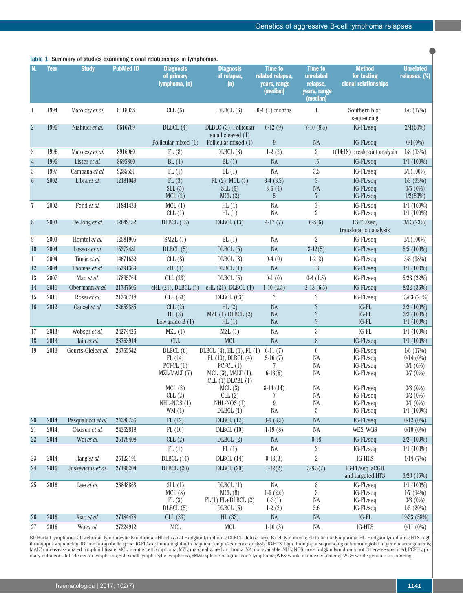|                | <b>Year</b>  |                                   | <b>PubMed ID</b>     | Table 1. Summary of studies examining clonal relationships in lymphomas. | <b>Diagnosis</b>                           |                                    | <b>Time to</b>               | <b>Method</b>                        | <b>Unrelated</b>             |
|----------------|--------------|-----------------------------------|----------------------|--------------------------------------------------------------------------|--------------------------------------------|------------------------------------|------------------------------|--------------------------------------|------------------------------|
| N.             |              | <b>Study</b>                      |                      | <b>Diagnosis</b><br>of primary                                           | of relapse,                                | <b>Time to</b><br>related relapse, | unrelated                    | for testing                          | relapses, (%)                |
|                |              |                                   |                      | lymphoma, (n)                                                            | (n)                                        | years, range                       | relapse,                     | clonal relationships                 |                              |
|                |              |                                   |                      |                                                                          |                                            | (median)                           | years, range                 |                                      |                              |
|                |              |                                   |                      |                                                                          |                                            |                                    | (median)                     |                                      |                              |
| $\mathbf{1}$   | 1994         | Matolcsy et al.                   | 8118038              | CLL(6)                                                                   | DLECL(6)                                   | $0-4(1)$ months                    | 1                            | Southern blot,<br>sequencing         | $1/6$ $(17%)$                |
| $\overline{2}$ | 1996         | Nishiuci et al.                   | 8616769              | DLBCL(4)                                                                 | DLBLC (3), Follicular<br>small cleaved (1) | $6-12(9)$                          | $7-10(8.5)$                  | IG-FL/seq                            | $2/4(50\%)$                  |
|                |              |                                   |                      | Follicular mixed (1)                                                     | Follicular mixed (1)                       | $9\phantom{.0}$                    | <b>NA</b>                    | IG-FL/seq                            | $0/1(0\%)$                   |
| $\sqrt{3}$     | 1996         | Matolcsy et al.                   | 8916960              | FL(8)                                                                    | DLECL(8)                                   | $1-2(2)$                           | $\overline{2}$               | $t(14;18)$ breakpoint analysis       | 1/8(13%)                     |
| $\overline{4}$ | 1996         | Lister et al.                     | 8695860              | BL(1)                                                                    | BL(1)                                      | NA                                 | 15                           | IG-FL/seq                            | $1/1(100\%)$                 |
| 5              | 1997         | Campana et al.                    | 9285551              | FL(1)                                                                    | BL(1)                                      | NA                                 | 3.5                          | IG-FL/seq                            | $1/1(100\%)$                 |
| $6\,$          | 2002         | Libra et al.                      | 12181049             | FL(3)                                                                    | $FL(2)$ , MCL $(1)$                        | $3-4(3.5)$                         | $\sqrt{3}$                   | IG-FL/seq                            | 1/3(33%)                     |
|                |              |                                   |                      | SLL(5)                                                                   | SLL(5)                                     | $3-6(4)$                           | <b>NA</b>                    | IG-FL/seq                            | 0/5(0%)                      |
|                |              |                                   |                      | MCL(2)                                                                   | MCL(2)                                     | 5                                  | $\overline{7}$               | IG-FL/seq                            | 1/2(50%)                     |
| $\sqrt{7}$     | 2002         | Fend et al.                       | 11841433             | MCL(1)                                                                   | HL(1)                                      | NA                                 | $\sqrt{3}$<br>$\overline{2}$ | IG-FL/seq                            | $1/1(100\%)$                 |
|                |              |                                   |                      | CLL(1)                                                                   | HL(1)                                      | $\rm NA$                           |                              | IG-FL/seq                            | $1/1(100\%)$                 |
| $8\phantom{.}$ | 2003         | De Jong et al.                    | 12649152             | DLBCL(13)                                                                | DLECL(13)                                  | $4-17(7)$                          | $6 - 8(6)$                   | IG-FL/seq,<br>translocation analysis | 3/13(23%)                    |
| 9              | 2003         | Heintel et al.                    | 12581905             | SMZL(1)                                                                  | BL(1)                                      | NA                                 | $\boldsymbol{2}$             | IG-FL/seq                            | $1/1(100\%)$                 |
| 10             | 2004         | Lossos et al.                     | 15372481             | DLBCL(5)                                                                 | DLBCL(5)                                   | <b>NA</b>                          | $3-12(5)$                    | IG-FL/seq                            | 5/5(100%)                    |
| 11             | 2004         | Timár et al.                      | 14671632             | CLL(8)                                                                   | DLECL(8)                                   | $0-4(0)$                           | $1-2(2)$                     | IG-FL/seq                            | 3/8 (38%)                    |
| 12             | 2004         | Thomas et al.                     | 15291369             | cHL(1)                                                                   | DLBCL(1)                                   | <b>NA</b>                          | 13                           | IG-FL/seq                            | $1/1(100\%)$                 |
| 13             | 2007         | Mao et al.                        | 17895764             | CLL (23)                                                                 | DLECL(5)                                   | $0-1(0)$                           | $0-4(1.5)$                   | IG-FL/seq                            | 5/23(22%)                    |
| 14             | 2011         | Obermann et al.                   | 21737506             | cHL (21), DLBCL (1)                                                      | cHL (21), DLBCL (1)                        | $1-10(2.5)$                        | $2-13(6.5)$                  | IG-FL/seq                            | 8/22 (36%)                   |
| 15             | 2011         | Rossi et al.                      | 21266718             | CLL(63)                                                                  | DLECL(63)                                  | $\ddot{?}$                         | ?                            | $IG$ - $FL$ /seq                     | 13/63 (21%)                  |
| 16             | 2012         | Ganzel et al.                     | 22659385             | CLL(2)                                                                   | HL(2)                                      | <b>NA</b>                          |                              | IG-FL                                | $2/2$ (100%)                 |
|                |              |                                   |                      | HL(3)                                                                    | $MZL(1)$ DLBCL $(2)$                       | <b>NA</b>                          | $\overline{\mathcal{C}}$     | $IG$ - $FL$                          | 3/3 (100%)                   |
|                |              |                                   |                      | Low grade $B(1)$                                                         | HL(1)                                      | NA                                 | $\overline{\cdot}$           | $IG-FL$<br>IG-FL                     | $1/1(100\%)$                 |
| 17<br>18       | 2013<br>2013 | Wobser et al.                     | 24274426<br>23763914 | MZL(1)<br><b>CLL</b>                                                     | MZL(1)<br><b>MCL</b>                       | NA<br>NA                           | $\boldsymbol{3}$<br>8        |                                      | $1/1(100\%)$<br>$1/1(100\%)$ |
| 19             | 2013         | Jain et al.<br>Geurts-Gieleet al. | 23765542             | DLBCL(6)                                                                 | DLBCL (4), HL (1), FL (1)                  |                                    | $\boldsymbol{0}$             | $IG$ - $FL$ /seq<br>IG-FL/seq        | $1/6$ $(17%)$                |
|                |              |                                   |                      | FL(14)                                                                   | FL (10), DLBCL (4)                         | $6-11(7)$<br>$5-16(7)$             | NA                           | IG-FL/seq                            | 0/14(0%)                     |
|                |              |                                   |                      | PCFCL(1)                                                                 | PCFCL(1)                                   | 7                                  | NA                           | IG-FL/seq                            | $0/1(0\%)$                   |
|                |              |                                   |                      | MZL/MALT (7)                                                             | $MCL$ (3), MALT (1),                       | $6-13(6)$                          | NA                           | IG-FL/seq                            | $0/7(0\%)$                   |
|                |              |                                   |                      | MCL(3)                                                                   | CLL(1) DLCBL(1)<br>MCL(3)                  | $8-14(14)$                         | NA                           | IG-FL/seq                            | $0/3(0\%)$                   |
|                |              |                                   |                      | CLL(2)                                                                   | CLL(2)                                     |                                    | NA                           | IG-FL/seq                            | $0/2$ ( $0\%$ )              |
|                |              |                                   |                      | $NHL-NOS(1)$                                                             | $NHL-NOS(1)$                               | $9\phantom{.0}$                    | NA                           | IG-FL/seq                            | $0/1(0\%)$                   |
|                |              |                                   |                      | WM(1)                                                                    | DLBCL(1)                                   | NA                                 | 5                            | IG-FL/seq                            | $1/1(100\%)$                 |
| 20             | 2014         | Pasqualucci et al.                | 24388756             | FL(12)                                                                   | <b>DLBCL</b> (12)                          | $0-9(3.5)$                         | <b>NA</b>                    | IG-FL/seq                            | 0/12(0%)                     |
| 21             | 2014         | Okosun et al.                     | 24362818             | FL(10)                                                                   | DLBCL(10)                                  | $1-19(8)$                          | NA                           | WES, WGS                             | $0/10(0\%)$                  |
| 22             | 2014         | Wei et al.                        | 25179408             | CLL(2)                                                                   | DLBCL(2)                                   | NA                                 | $0-18$                       | IG-FL/seq                            | $2/2$ (100%)                 |
|                |              |                                   |                      | FL(1)                                                                    | FL(1)                                      | $\rm NA$                           | $\sqrt{2}$                   | IG-FL/seq                            | $1/1(100\%)$                 |
| 23             | 2014         | Jiang et al.                      | 25123191             | DLBCL (14)                                                               | DLBCL(14)                                  | $0-13(3)$                          | $\sqrt{2}$                   | IG-HTS                               | 1/14(7%)                     |
| 24             | 2016         | Juskevicius et al.                | 27198204             | DLBCL(20)                                                                | DLECL(20)                                  | $1-12(2)$                          | $3 - 8.5(7)$                 | IG-FL/seq, aCGH<br>and targeted HTS  | 3/20 (15%)                   |
| 25             | 2016         | Lee et al.                        | 26848863             | SLL(1)                                                                   | DLBCL(1)                                   | $\rm NA$                           | $\,$ 8 $\,$                  | IG-FL/seq                            | $1/1(100\%)$                 |
|                |              |                                   |                      | MCL(8)                                                                   | MCL(8)                                     | $1-6(2.6)$                         | $\boldsymbol{3}$             | IG-FL/seq                            | 1/7(14%)                     |
|                |              |                                   |                      | FL(3)<br>DLBCL(5)                                                        | $FL(1) FL+DLBCL(2)$<br>DLECL(5)            | $0-3(1)$<br>$1-2(2)$               | NA<br>$5.6\,$                | IG-FL/seq<br>IG-FL/seq               | $0/3$ $(0\%)$<br>1/5(20%)    |
| 26             | 2016         | Xiao et al.                       | 27184478             | CLL(33)                                                                  | HL (33)                                    | NA                                 | NA                           | $IG$ - $FL$                          | 19/33 (58%)                  |
| 27             | 2016         | Wu et al.                         | 27224912             | MCL                                                                      | MCL                                        | $1-10(3)$                          | NA                           | IG-HTS                               | 0/11(0%)                     |
|                |              |                                   |                      |                                                                          |                                            |                                    |                              |                                      |                              |

#### Table 1. Summary of studies examining clonal relationships in lymphomas.

BL: Burkitt lymphoma; CLL: chronic lymphocytic lymphoma; cHL: classical Hodgkin lymphoma; DLBCL: diffuse large B-cell lymphoma; FL: follicular lymphoma; HL: Hodgkin lymphoma; HTS: high throughput sequencing; IG: immunoglobulin gene; IG-FL/seq: immunoglobulin fragment length/sequence analysis; IG-HTS: high throughput sequencing of immunoglobulin gene rearrangements; MALT: mucosa-associated lymphoid tissue; MCL: mantle cell lymphoma; MZL: marginal zone lymphoma; NA: not available; NHL: NOS: non-Hodgkin lymphoma not otherwise specified; PCFCL: primary cutaneous follicle center lymphoma; SLL: small lymphocytic lymphoma, SMZL: splenic marginal zone lymphoma; WES: whole exome sequencing; WGS: whole genome sequencing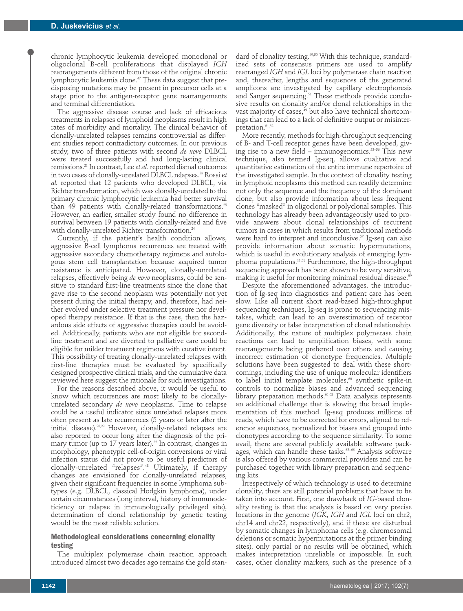chronic lymphocytic leukemia developed monoclonal or oligoclonal B-cell proliferations that displayed *IGH* rearrangements different from those of the original chronic lymphocytic leukemia clone.<sup>47</sup> These data suggest that predisposing mutations may be present in precursor cells at a stage prior to the antigen-receptor gene rearrangements and terminal differentiation.

The aggressive disease course and lack of efficacious treatments in relapses of lymphoid neoplasms result in high rates of morbidity and mortality. The clinical behavior of clonally-unrelated relapses remains controversial as different studies report contradictory outcomes. In our previous study, two of three patients with second *de novo* DLBCL were treated successfully and had long-lasting clinical remissions.21 In contrast, Lee *et al.* reported dismal outcomes in two cases of clonally-unrelated DLBCL relapses.23 Rossi e*t al.* reported that 12 patients who developed DLBCL, via Richter transformation, which was clonally-unrelated to the primary chronic lymphocytic leukemia had better survival than 49 patients with clonally-related transformations.<sup>25</sup> However, an earlier, smaller study found no difference in survival between 19 patients with clonally-related and five with clonally-unrelated Richter transformation.<sup>24</sup>

Currently, if the patient's health condition allows, aggressive B-cell lymphoma recurrences are treated with aggressive secondary chemotherapy regimens and autologous stem cell transplantation because acquired tumor resistance is anticipated. However, clonally-unrelated relapses, effectively being *de novo* neoplasms, could be sensitive to standard first-line treatments since the clone that gave rise to the second neoplasm was potentially not yet present during the initial therapy, and, therefore, had neither evolved under selective treatment pressure nor developed therapy resistance. If that is the case, then the hazardous side effects of aggressive therapies could be avoided. Additionally, patients who are not eligible for secondline treatment and are diverted to palliative care could be eligible for milder treatment regimens with curative intent. This possibility of treating clonally-unrelated relapses with first-line therapies must be evaluated by specifically designed prospective clinical trials, and the cumulative data reviewed here suggest the rationale for such investigations.

For the reasons described above, it would be useful to know which recurrences are most likely to be clonallyunrelated secondary *de novo* neoplasms. Time to relapse could be a useful indicator since unrelated relapses more often present as late recurrences (5 years or later after the initial disease).<sup>20,22</sup> However, clonally-related relapses are also reported to occur long after the diagnosis of the primary tumor (up to 17 years later).<sup>22</sup> In contrast, changes in morphology, phenotypic cell-of-origin conversions or viral infection status did not prove to be useful predictors of clonally-unrelated "relapses".48 Ultimately, if therapy changes are envisioned for clonally-unrelated relapses, given their significant frequencies in some lymphoma subtypes (e.g. DLBCL, classical Hodgkin lymphoma), under certain circumstances (long interval, history of immunodeficiency or relapse in immunologically privileged site), determination of clonal relationship by genetic testing would be the most reliable solution.

# **Methodological considerations concerning clonality testing**

The multiplex polymerase chain reaction approach introduced almost two decades ago remains the gold standard of clonality testing.49,50 With this technique, standardized sets of consensus primers are used to amplify rearranged *IGH* and *IGL* loci by polymerase chain reaction and, thereafter, lengths and sequences of the generated amplicons are investigated by capillary electrophoresis and Sanger sequencing.<sup>51</sup> These methods provide conclusive results on clonality and/or clonal relationships in the vast majority of cases, $49$  but also have technical shortcomings that can lead to a lack of definitive output or misinterpretation.<sup>51,52</sup>

More recently, methods for high-throughput sequencing of B- and T-cell receptor genes have been developed, giving rise to a new field – immunogenomics.53–56 This new technique, also termed Ig-seq, allows qualitative and quantitative estimation of the entire immune repertoire of the investigated sample. In the context of clonality testing in lymphoid neoplasms this method can readily determine not only the sequence and the frequency of the dominant clone, but also provide information about less frequent clones "masked" in oligoclonal or polyclonal samples. This technology has already been advantageously used to provide answers about clonal relationships of recurrent tumors in cases in which results from traditional methods were hard to interpret and inconclusive.<sup>57</sup> Ig-seq can also provide information about somatic hypermutations, which is useful in evolutionary analysis of emerging lymphoma populations.11,58 Furthermore, the high-throughput sequencing approach has been shown to be very sensitive, making it useful for monitoring minimal residual disease.<sup>59</sup>

Despite the aforementioned advantages, the introduction of Ig-seq into diagnostics and patient care has been slow. Like all current short read-based high-throughput sequencing techniques, Ig-seq is prone to sequencing mistakes, which can lead to an overestimation of receptor gene diversity or false interpretation of clonal relationship. Additionally, the nature of multiplex polymerase chain reactions can lead to amplification biases, with some rearrangements being preferred over others and causing incorrect estimation of clonotype frequencies. Multiple solutions have been suggested to deal with these shortcomings, including the use of unique molecular identifiers to label initial template molecules,<sup>60</sup> synthetic spike-in controls to normalize biases and advanced sequencing library preparation methods.<sup>61,62</sup> Data analysis represents an additional challenge that is slowing the broad implementation of this method. Ig-seq produces millions of reads, which have to be corrected for errors, aligned to reference sequences, normalized for biases and grouped into clonotypes according to the sequence similarity. To some avail, there are several publicly available software packages, which can handle these tasks.<sup>63–66</sup> Analysis software is also offered by various commercial providers and can be purchased together with library preparation and sequencing kits.

Irrespectively of which technology is used to determine clonality, there are still potential problems that have to be taken into account. First, one drawback of *IG*-based clonality testing is that the analysis is based on very precise locations in the genome (*IGK*, *IGH* and *IGL* loci on chr2, chr14 and chr22, respectively), and if these are disturbed by somatic changes in lymphoma cells (e.g. chromosomal deletions or somatic hypermutations at the primer binding sites), only partial or no results will be obtained, which makes interpretation unreliable or impossible. In such cases, other clonality markers, such as the presence of a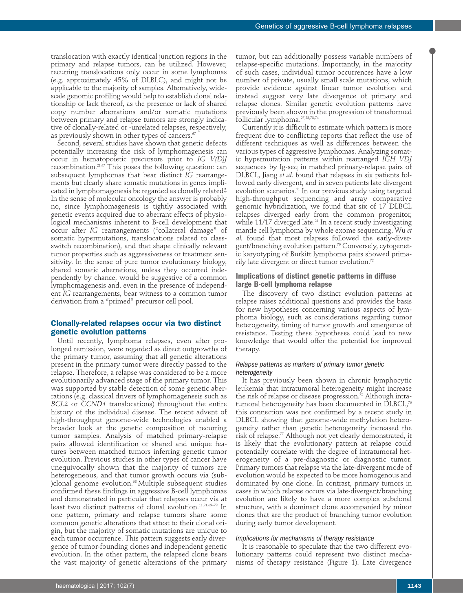translocation with exactly identical junction regions in the primary and relapse tumors, can be utilized. However, recurring translocations only occur in some lymphomas (e.g. approximately 45% of DLBLC), and might not be applicable to the majority of samples. Alternatively, widescale genomic profiling would help to establish clonal relationship or lack thereof, as the presence or lack of shared copy number aberrations and/or somatic mutations between primary and relapse tumors are strongly indicative of clonally-related or -unrelated relapses, respectively, as previously shown in other types of cancers.<sup>67</sup>

Second, several studies have shown that genetic defects potentially increasing the risk of lymphomagenesis can occur in hematopoietic precursors prior to *IG V(D)J* recombination.21,47 This poses the following question: can subsequent lymphomas that bear distinct *IG* rearrangements but clearly share somatic mutations in genes implicated in lymphomagenesis be regarded as clonally related? In the sense of molecular oncology the answer is probably no, since lymphomagenesis is tightly associated with genetic events acquired due to aberrant effects of physiological mechanisms inherent to B-cell development that occur after *IG* rearrangements ("collateral damage" of somatic hypermutations, translocations related to classswitch recombination), and that shape clinically relevant tumor properties such as aggressiveness or treatment sensitivity. In the sense of pure tumor evolutionary biology, shared somatic aberrations, unless they occurred independently by chance, would be suggestive of a common lymphomagenesis and, even in the presence of independent *IG* rearrangements, bear witness to a common tumor derivation from a "primed" precursor cell pool.

# **Clonally-related relapses occur via two distinct genetic evolution patterns**

Until recently, lymphoma relapses, even after prolonged remission, were regarded as direct outgrowths of the primary tumor, assuming that all genetic alterations present in the primary tumor were directly passed to the relapse. Therefore, a relapse was considered to be a more evolutionarily advanced stage of the primary tumor. This was supported by stable detection of some genetic aberrations (e.g. classical drivers of lymphomagenesis such as *BCL2* or *CCND1* translocations) throughout the entire history of the individual disease. The recent advent of high-throughput genome-wide technologies enabled a broader look at the genetic composition of recurring tumor samples. Analysis of matched primary-relapse pairs allowed identification of shared and unique features between matched tumors inferring genetic tumor evolution. Previous studies in other types of cancer have unequivocally shown that the majority of tumors are heterogeneous, and that tumor growth occurs via (sub- )clonal genome evolution.<sup>68</sup> Multiple subsequent studies confirmed these findings in aggressive B-cell lymphomas and demonstrated in particular that relapses occur via at least two distinct patterns of clonal evolution.<sup>11,21,69-72</sup> In one pattern, primary and relapse tumors share some common genetic alterations that attest to their clonal origin, but the majority of somatic mutations are unique to each tumor occurrence. This pattern suggests early divergence of tumor-founding clones and independent genetic evolution. In the other pattern, the relapsed clone bears the vast majority of genetic alterations of the primary tumor, but can additionally possess variable numbers of relapse-specific mutations. Importantly, in the majority of such cases, individual tumor occurrences have a low number of private, usually small scale mutations, which provide evidence against linear tumor evolution and instead suggest very late divergence of primary and relapse clones. Similar genetic evolution patterns have previously been shown in the progression of transformed follicular lymphoma.27,28,73,74

Currently it is difficult to estimate which pattern is more frequent due to conflicting reports that reflect the use of different techniques as well as differences between the various types of aggressive lymphomas. Analyzing somatic hypermutation patterns within rearranged *IGH VDJ* sequences by Ig-seq in matched primary-relapse pairs of DLBCL, Jiang *et al*. found that relapses in six patients followed early divergent, and in seven patients late divergent evolution scenarios.11 In our previous study using targeted high-throughput sequencing and array comparative genomic hybridization, we found that six of 17 DLBCL relapses diverged early from the common progenitor, while 11/17 diverged late.<sup>21</sup> In a recent study investigating mantle cell lymphoma by whole exome sequencing, Wu *et al.* found that most relapses followed the early-divergent/branching evolution pattern.<sup>70</sup> Conversely, cytogenetic karyotyping of Burkitt lymphoma pairs showed primarily late divergent or direct tumor evolution.<sup>72</sup>

# **Implications of distinct genetic patterns in diffuse large B-cell lymphoma relapse**

The discovery of two distinct evolution patterns at relapse raises additional questions and provides the basis for new hypotheses concerning various aspects of lymphoma biology, such as considerations regarding tumor heterogeneity, timing of tumor growth and emergence of resistance. Testing these hypotheses could lead to new knowledge that would offer the potential for improved therapy.

#### *Relapse patterns as markers of primary tumor genetic heterogeneity*

It has previously been shown in chronic lymphocytic leukemia that intratumoral heterogeneity might increase the risk of relapse or disease progression.<sup>75</sup> Although intratumoral heterogeneity has been documented in DLBCL,<sup>76</sup> this connection was not confirmed by a recent study in DLBCL showing that genome-wide methylation heterogeneity rather than genetic heterogeneity increased the risk of relapse. $77$  Although not yet clearly demonstrated, it is likely that the evolutionary pattern at relapse could potentially correlate with the degree of intratumoral heterogeneity of a pre-diagnostic or diagnostic tumor. Primary tumors that relapse via the late-divergent mode of evolution would be expected to be more homogenous and dominated by one clone. In contrast, primary tumors in cases in which relapse occurs via late-divergent/branching evolution are likely to have a more complex subclonal structure, with a dominant clone accompanied by minor clones that are the product of branching tumor evolution during early tumor development.

#### *Implications for mechanisms of therapy resistance*

It is reasonable to speculate that the two different evolutionary patterns could represent two distinct mechanisms of therapy resistance (Figure 1). Late divergence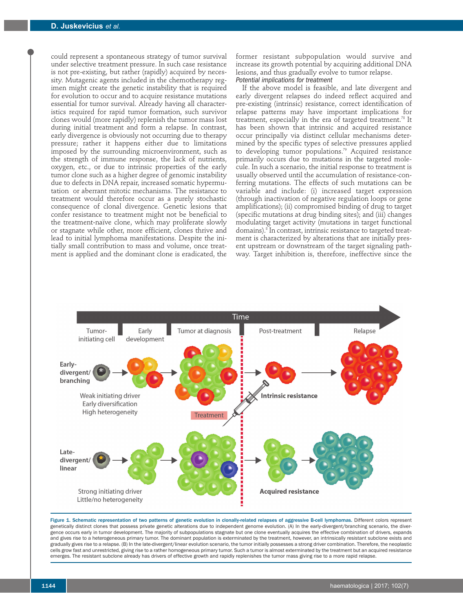could represent a spontaneous strategy of tumor survival under selective treatment pressure. In such case resistance is not pre-existing, but rather (rapidly) acquired by necessity. Mutagenic agents included in the chemotherapy regimen might create the genetic instability that is required for evolution to occur and to acquire resistance mutations essential for tumor survival. Already having all characteristics required for rapid tumor formation, such survivor clones would (more rapidly) replenish the tumor mass lost during initial treatment and form a relapse. In contrast, early divergence is obviously not occurring due to therapy pressure; rather it happens either due to limitations imposed by the surrounding microenvironment, such as the strength of immune response, the lack of nutrients, oxygen, etc., or due to intrinsic properties of the early tumor clone such as a higher degree of genomic instability due to defects in DNA repair, increased somatic hypermutation or aberrant mitotic mechanisms. The resistance to treatment would therefore occur as a purely stochastic consequence of clonal divergence. Genetic lesions that confer resistance to treatment might not be beneficial to the treatment-naïve clone, which may proliferate slowly or stagnate while other, more efficient, clones thrive and lead to initial lymphoma manifestations. Despite the initially small contribution to mass and volume, once treatment is applied and the dominant clone is eradicated, the former resistant subpopulation would survive and increase its growth potential by acquiring additional DNA lesions, and thus gradually evolve to tumor relapse. *Potential implications for treatment* 

If the above model is feasible, and late divergent and early divergent relapses do indeed reflect acquired and pre-existing (intrinsic) resistance, correct identification of relapse patterns may have important implications for treatment, especially in the era of targeted treatment.<sup>78</sup> It has been shown that intrinsic and acquired resistance occur principally via distinct cellular mechanisms determined by the specific types of selective pressures applied to developing tumor populations.79 Acquired resistance primarily occurs due to mutations in the targeted molecule. In such a scenario, the initial response to treatment is usually observed until the accumulation of resistance-conferring mutations. The effects of such mutations can be variable and include: (i) increased target expression (through inactivation of negative regulation loops or gene amplifications); (ii) compromised binding of drug to target (specific mutations at drug binding sites); and (iii) changes modulating target activity (mutations in target functional domains).<sup>8</sup> In contrast, intrinsic resistance to targeted treatment is characterized by alterations that are initially present upstream or downstream of the target signaling pathway. Target inhibition is, therefore, ineffective since the



Figure 1. Schematic representation of two patterns of genetic evolution in clonally-related relapses of aggressive B-cell lymphomas. Different colors represent genetically distinct clones that possess private genetic alterations due to independent genome evolution. (A) In the early-divergent/branching scenario, the divergence occurs early in tumor development. The majority of subpopulations stagnate but one clone eventually acquires the effective combination of drivers, expands and gives rise to a heterogeneous primary tumor. The dominant population is exterminated by the treatment, however, an intrinsically resistant subclone exists and gradually gives rise to a relapse. (B) In the late-divergent/linear evolution scenario, the tumor initially possesses a strong driver combination. Therefore, the neoplastic cells grow fast and unrestricted, giving rise to a rather homogeneous primary tumor. Such a tumor is almost exterminated by the treatment but an acquired resistance emerges. The resistant subclone already has drivers of effective growth and rapidly replenishes the tumor mass giving rise to a more rapid relapse.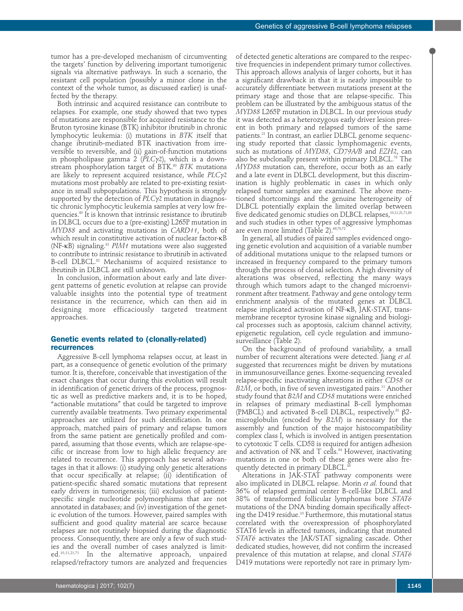tumor has a pre-developed mechanism of circumventing the targets' function by delivering important tumorigenic signals via alternative pathways. In such a scenario, the resistant cell population (possibly a minor clone in the context of the whole tumor, as discussed earlier) is unaffected by the therapy.

Both intrinsic and acquired resistance can contribute to relapses. For example, one study showed that two types of mutations are responsible for acquired resistance to the Bruton tyrosine kinase (BTK) inhibitor ibrutinib in chronic lymphocytic leukemia: (i) mutations in *BTK* itself that change ibrutinib-mediated BTK inactivation from irreversible to reversible, and (ii) gain-of-function mutations in phospholipase gamma 2 (*PLC*γ*2*), which is a downstream phosphorylation target of BTK.<sup>80</sup> BTK mutations are likely to represent acquired resistance, while *PLC*γ*2* mutations most probably are related to pre-existing resistance in small subpopulations. This hypothesis is strongly supported by the detection of *PLC*γ*2* mutation in diagnostic chronic lymphocytic leukemia samples at very low frequencies.80 It is known that intrinsic resistance to ibrutinib in DLBCL occurs due to a (pre-existing) L265P mutation in *MYD88* and activating mutations in *CARD11*, both of which result in constitutive activation of nuclear factor-κB ( $NF-KB$ ) signaling.<sup>81</sup> *PIM1* mutations were also suggested to contribute to intrinsic resistance to ibrutinib in activated B-cell DLBCL.<sup>82</sup> Mechanisms of acquired resistance to ibrutinib in DLBCL are still unknown.

In conclusion, information about early and late divergent patterns of genetic evolution at relapse can provide valuable insights into the potential type of treatment resistance in the recurrence, which can then aid in designing more efficaciously targeted treatment approaches.

# **Genetic events related to (clonally-related) recurrences**

Aggressive B-cell lymphoma relapses occur, at least in part, as a consequence of genetic evolution of the primary tumor. It is, therefore, conceivable that investigation of the exact changes that occur during this evolution will result in identification of genetic drivers of the process, prognostic as well as predictive markers and, it is to be hoped, "actionable mutations" that could be targeted to improve currently available treatments. Two primary experimental approaches are utilized for such identification. In one approach, matched pairs of primary and relapse tumors from the same patient are genetically profiled and compared, assuming that those events, which are relapse-specific or increase from low to high allelic frequency are related to recurrence. This approach has several advantages in that it allows: (i) studying only genetic alterations that occur specifically at relapse; (ii) identification of patient-specific shared somatic mutations that represent early drivers in tumorigenesis; (iii) exclusion of patientspecific single nucleotide polymorphisms that are not annotated in databases; and (iv) investigation of the genetic evolution of the tumors. However, paired samples with sufficient and good quality material are scarce because relapses are not routinely biopsied during the diagnostic process. Consequently, there are only a few of such studies and the overall number of cases analyzed is limited.10,11,21,71 In the alternative approach, unpaired relapsed/refractory tumors are analyzed and frequencies

of detected genetic alterations are compared to the respective frequencies in independent primary tumor collectives. This approach allows analysis of larger cohorts, but it has a significant drawback in that it is nearly impossible to accurately differentiate between mutations present at the primary stage and those that are relapse-specific. This problem can be illustrated by the ambiguous status of the *MYD88* L265P mutation in DLBCL. In our previous study it was detected as a heterozygous early driver lesion present in both primary and relapsed tumors of the same patients.<sup>21</sup> In contrast, an earlier DLBCL genome sequencing study reported that classic lymphomagenic events, such as mutations of *MYD88*, *CD79A/B* and *EZH2*, can also be subclonally present within primary DLBCL.<sup>76</sup> The *MYD88* mutation can, therefore, occur both as an early and a late event in DLBCL development, but this discrimination is highly problematic in cases in which only relapsed tumor samples are examined. The above mentioned shortcomings and the genuine heterogeneity of DLBCL potentially explain the limited overlap between five dedicated genomic studies on DLBCL relapses,<sup>10,11,21,71,83</sup> and such studies in other types of aggressive lymphomas are even more limited (Table 2).<sup>69,70,72</sup>

In general, all studies of paired samples evidenced ongoing genetic evolution and acquisition of a variable number of additional mutations unique to the relapsed tumors or increased in frequency compared to the primary tumors through the process of clonal selection. A high diversity of alterations was observed, reflecting the many ways through which tumors adapt to the changed microenvironment after treatment. Pathway and gene ontology term enrichment analysis of the mutated genes at DLBCL relapse implicated activation of NF-κB, JAK-STAT, transmembrane receptor tyrosine kinase signaling and biological processes such as apoptosis, calcium channel activity, epigenetic regulation, cell cycle regulation and immunosurveillance (Table 2).

On the background of profound variability, a small number of recurrent alterations were detected. Jiang *et al.* suggested that recurrences might be driven by mutations in immunosurveillance genes. Exome-sequencing revealed relapse-specific inactivating alterations in either *CD58* or *B2M*, or both, in five of seven investigated pairs.<sup>11</sup> Another study found that *B2M* and *CD58* mutations were enriched in relapses of primary mediastinal B-cell lymphomas (PMBCL) and activated B-cell DLBCL, respectively.83 β2 microglobulin (encoded by *B2M*) is necessary for the assembly and function of the major histocompatibility complex class I, which is involved in antigen presentation to cytotoxic T cells. CD58 is required for antigen adhesion and activation of NK and  $T$  cells.<sup>84</sup> However, inactivating mutations in one or both of these genes were also frequently detected in primary DLBCL.<sup>85</sup>

Alterations in JAK-STAT pathway components were also implicated in DLBCL relapse. Morin *et al.* found that 36% of relapsed germinal center B-cell-like DLBCL and 38% of transformed follicular lymphomas bore *STAT6* mutations of the DNA binding domain specifically affecting the D419 residue.<sup>10</sup> Furthermore, this mutational status correlated with the overexpression of phosphorylated STAT6 levels in affected tumors, indicating that mutated *STAT6* activates the JAK/STAT signaling cascade. Other dedicated studies, however, did not confirm the increased prevalence of this mutation at relapse, and clonal *STAT6* D419 mutations were reportedly not rare in primary lym-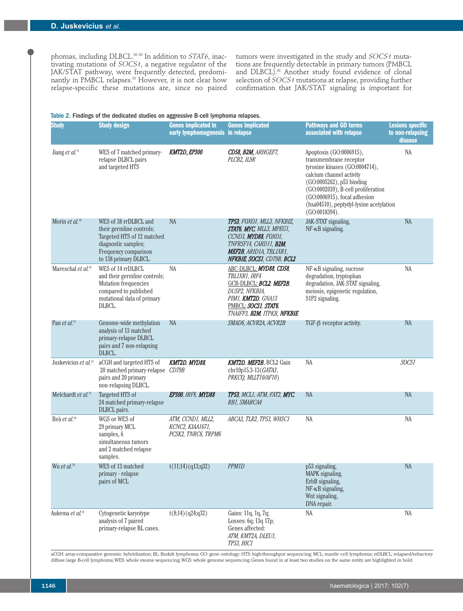phomas, including DLBCL.86–88 In addition to *STAT6*, inactivating mutations of *SOCS1*, a negative regulator of the JAK/STAT pathway, were frequently detected, predominantly in PMBCL relapses.<sup>83</sup> However, it is not clear how relapse-specific these mutations are, since no paired

tumors were investigated in the study and *SOCS1* mutations are frequently detectable in primary tumors (PMBCL and DLBCL).<sup>88</sup> Another study found evidence of clonal selection of *SOCS1* mutations at relapse, providing further confirmation that JAK/STAT signaling is important for

#### Table 2. Findings of the dedicated studies on aggressive B-cell lymphoma relapses.

| <b>Study</b>                     | <b>Study design</b>                                                                                                                        | <b>Genes implicated in</b><br>early lymphomagenesis in relapse | <b>Genes implicated</b>                                                                                                                                                           | <b>Pathways and GO terms</b><br>associated with relapse                                                                                                                                                                                                                        | <b>Lesions specific</b><br>to non-relapsing<br>disease |
|----------------------------------|--------------------------------------------------------------------------------------------------------------------------------------------|----------------------------------------------------------------|-----------------------------------------------------------------------------------------------------------------------------------------------------------------------------------|--------------------------------------------------------------------------------------------------------------------------------------------------------------------------------------------------------------------------------------------------------------------------------|--------------------------------------------------------|
| Jiang et al. <sup>11</sup>       | WES of 7 matched primary-<br>relapse DLBCL pairs<br>and targeted HTS                                                                       | KMT2D, EP300                                                   | CD58, B2M, ARHGEF7,<br>PLCB2, IL9R                                                                                                                                                | Apoptosis (GO:0006915),<br>transmembrane receptor<br>tyrosine kinases (GO:0004714),<br>calcium channel activity<br>(GO:0005262), p53 binding<br>(GO:0002039), B-cell proliferation<br>(GO:0006915), focal adhesion<br>(hsa04510), peptydyl-lysine acetylation<br>(GO:0018394). | NA                                                     |
| Morin et al. <sup>10</sup>       | WES of 38 rrDLBCL and<br>their germline controls;<br>Targeted HTS of 12 matched<br>diagnostic samples;<br>Frequency comparison             | <b>NA</b>                                                      | TP53, FOXO1, MLL3, NFKBIZ,<br>STAT6, MYC, MLL3, MPEG1,<br>CCND3, MYD88, FOXO1,<br>TNFRSF14, CARD11, B2M,<br><b>MEF2B, ARIDIA, TBLIXRI,</b>                                        | <b>JAK-STAT</b> signaling,<br>$NF$ - $\kappa$ B signaling.                                                                                                                                                                                                                     | <b>NA</b>                                              |
|                                  | to 138 primary DLBCL.                                                                                                                      |                                                                | NFKBIE, SOCSI, CD79B, BCL2                                                                                                                                                        |                                                                                                                                                                                                                                                                                |                                                        |
| Mareschal et al.83               | WES of 14 rrDLBCL<br>and their germline controls;<br>Mutation frequencies<br>compared to published<br>mutational data of primary<br>DLBCL. | NA                                                             | ABC-DLBCL: MYD88, CD58,<br>TBLIXRI, IRF4<br><b>GCB-DLBCL: BCL2, MEF2B,</b><br>DUSP2, NFKBIA,<br>PIM1, <b>KMT2D</b> , GNA13<br>PMBCL: SOCS1, STAT6,<br>TNAIFP3, B2M, ITPKB, NFKBIE | NF-KB signaling, sucrose<br>degradation, tryptophan<br>degradation, JAK-STAT signaling,<br>meiosis, epigenetic regulation,<br>S1P2 signaling.                                                                                                                                  | NA                                                     |
| Pan <i>et al.</i> <sup>77</sup>  | Genome-wide methylation<br>analysis of 13 matched<br>primary-relapse DLBCL<br>pairs and 7 non-relapsing<br>DLBCL.                          | <b>NA</b>                                                      | SMAD6, ACVR2A, ACVR2B                                                                                                                                                             | $TGF-\beta receptor activity.$                                                                                                                                                                                                                                                 | <b>NA</b>                                              |
| Juskevicius et al. <sup>21</sup> | aCGH and targeted HTS of<br>20 matched primary-relapse CD79B<br>pairs and 20 primary<br>non-relapsing DLBCL.                               | <b>KMT2D, MYD88,</b>                                           | <b>KMT2D, MEF2B, BCL2 Gain</b><br>chr10p15.3-13(GATA3,<br>PRKCQ, MLLT10/AF10)                                                                                                     | <b>NA</b>                                                                                                                                                                                                                                                                      | SOCS1                                                  |
| Melchardt et al. <sup>71</sup>   | Targeted HTS of<br>24 matched primary-relapse<br>DLBCL pairs.                                                                              | <b>EP300, IRF8, MYD88</b>                                      | TP53, MCL1, ATM, FAT2, MYC,<br>RB1, SMARCA4                                                                                                                                       | <b>NA</b>                                                                                                                                                                                                                                                                      | <b>NA</b>                                              |
| Beà et al. <sup>69</sup>         | WGS or WES of<br>29 primary MCL<br>samples, 6<br>simultaneous tumors<br>and 2 matched relapse<br>samples.                                  | ATM, CCND1, MLL2,<br>KCNC2, KIAA1671,<br>PCSK2, TNRC6, TRPM6   | ABCA3, TLR2, TP53, WHSC1                                                                                                                                                          | NA                                                                                                                                                                                                                                                                             | NA                                                     |
| Wu et al. <sup>70</sup>          | WES of 13 matched<br>primary - relapse<br>pairs of MCL                                                                                     | t(11;14)(q13;q32)                                              | <b>PPM1D</b>                                                                                                                                                                      | p53 signaling,<br>MAPK signaling,<br>ErbB signaling,<br>NF-KB signaling,<br>Wnt signaling,<br>DNA repair.                                                                                                                                                                      | <b>NA</b>                                              |
| Aukema et al. <sup>72</sup>      | Cytogenetic karyotype<br>analysis of 7 paired<br>primary-relapse BL cases.                                                                 | t(8;14)(q24;q32)                                               | Gains: 11q, 1q, 7q;<br>Losses: 6q; 13q 17p;<br>Genes affected:<br>ATM, KMT2A, DLEU1,<br>TP53, HICI                                                                                | NA                                                                                                                                                                                                                                                                             | NA                                                     |

aCGH: array-comparative genomic hybridization; BL: Burkitt lymphoma; GO: gene ontology; HTS: high-throughput sequencing; MCL: mantle cell lymphoma; rrDLBCL: relapsed/refractory diffuse large B-cell lymphoma; WES: whole exome sequencing; WGS: whole genome sequencing. Genes found in at least two studies on the same entity are highlighted in bold.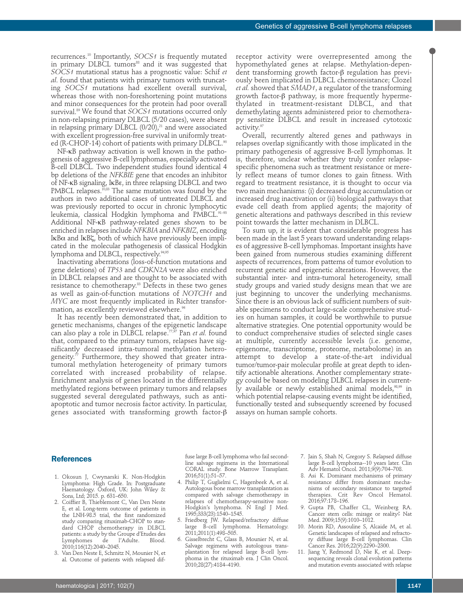recurrences.10 Importantly, *SOCS1* is frequently mutated in primary DLBCL tumors<sup>88</sup> and it was suggested that *SOCS1* mutational status has a prognostic value: Schif *et al*. found that patients with primary tumors with truncating *SOCS1* mutations had excellent overall survival, whereas those with non-foreshortening point mutations and minor consequences for the protein had poor overall survival.89 We found that *SOCS1* mutations occurred only in non-relapsing primary DLBCL (5/20 cases), were absent in relapsing primary DLBCL  $(0/20)^{21}$  and were associated with excellent progression-free survival in uniformly treated (R-CHOP-14) cohort of patients with primary DLBCL.<sup>90</sup>

NF-κB pathway activation is well known in the pathogenesis of aggressive B-cell lymphomas, especially activated B-cell DLBCL. Two independent studies found identical 4 bp deletions of the *NFKBIE* gene that encodes an inhibitor of NF-κB signaling, IκBε, in three relapsing DLBCL and two PMBCL relapses.10,83 The same mutation was found by the authors in two additional cases of untreated DLBCL and was previously reported to occur in chronic lymphocytic leukemia, classical Hodgkin lymphoma and PMBCL.91-93 Additional NF-κB pathway-related genes shown to be enriched in relapses include *NFKBIA* and *NFKBIZ*, encoding IκBα and IκBζ, both of which have previously been implicated in the molecular pathogenesis of classical Hodgkin lymphoma and DLBCL, respectively.<sup>94,95</sup>

Inactivating aberrations (loss-of-function mutations and gene deletions) of *TP53* and *CDKN2A* were also enriched in DLBCL relapses and are thought to be associated with resistance to chemotherapy.83 Defects in these two genes as well as gain-of-function mutations of *NOTCH1* and *MYC* are most frequently implicated in Richter transformation, as excellently reviewed elsewhere.<sup>96</sup>

It has recently been demonstrated that, in addition to genetic mechanisms, changes of the epigenetic landscape can also play a role in DLBCL relapse.77,97 Pan *et al.* found that, compared to the primary tumors, relapses have significantly decreased intra-tumoral methylation heterogeneity. $\bar{7}$  Furthermore, they showed that greater intratumoral methylation heterogeneity of primary tumors correlated with increased probability of relapse. Enrichment analysis of genes located in the differentially methylated regions between primary tumors and relapses suggested several deregulated pathways, such as antiapoptotic and tumor necrosis factor activity. In particular, genes associated with transforming growth factor-β

receptor activity were overrepresented among the hypomethylated genes at relapse. Methylation-dependent transforming growth factor-β regulation has previously been implicated in DLBCL chemoresistance; Clozel *et al.* showed that *SMAD1*, a regulator of the transforming growth factor-β pathway, is more frequently hypermethylated in treatment-resistant DLBCL, and that demethylating agents administered prior to chemotherapy sensitize DLBCL and result in increased cytotoxic activity.<sup>97</sup>

Overall, recurrently altered genes and pathways in relapses overlap significantly with those implicated in the primary pathogenesis of aggressive B-cell lymphomas. It is, therefore, unclear whether they truly confer relapsespecific phenomena such as treatment resistance or merely reflect means of tumor clones to gain fitness. With regard to treatment resistance, it is thought to occur via two main mechanisms: (i) decreased drug accumulation or increased drug inactivation or (ii) biological pathways that evade cell death from applied agents; the majority of genetic alterations and pathways described in this review point towards the latter mechanism in DLBCL.

To sum up, it is evident that considerable progress has been made in the last 5 years toward understanding relapses of aggressive B-cell lymphomas. Important insights have been gained from numerous studies examining different aspects of recurrences, from patterns of tumor evolution to recurrent genetic and epigenetic alterations. However, the substantial inter- and intra-tumoral heterogeneity, small study groups and varied study designs mean that we are just beginning to uncover the underlying mechanisms. Since there is an obvious lack of sufficient numbers of suitable specimens to conduct large-scale comprehensive studies on human samples, it could be worthwhile to pursue alternative strategies. One potential opportunity would be to conduct comprehensive studies of selected single cases at multiple, currently accessible levels (i.e. genome, epigenome, transcriptome, proteome, metabolome) in an attempt to develop a state-of-the-art individual tumor/tumor-pair molecular profile at great depth to identify actionable alterations. Another complementary strategy could be based on modeling DLBCL relapses in currently available or newly established animal models,<sup>98,99</sup> in which potential relapse-causing events might be identified, functionally tested and subsequently screened by focused assays on human sample cohorts.

## **References**

- 1. Okosun J, Cwynarski K. Non-Hodgkin Lymphoma: High Grade. In: Postgraduate Haematology. Oxford, UK: John Wiley & Sons, Ltd; 2015. p. 631–650.
- 2. Coiffier B, Thieblemont C, Van Den Neste E, et al. Long-term outcome of patients in the LNH-98.5 trial, the first randomized study comparing rituximab-CHOP to standard CHOP chemotherapy in DLBCL patients: a study by the Groupe d'Etudes des Lymphomes de l'Adulte. Blood. 2010;116(12):2040–2045.
- 3. Van Den Neste E, Schmitz N, Mounier N, et al. Outcome of patients with relapsed dif-

fuse large B-cell lymphoma who fail secondline salvage regimens in the International CORAL study. Bone Marrow Transplant. 2016;51(1):51–57.

- 4. Philip T, Guglielmi C, Hagenbeek A, et al. Autologous bone marrow transplantation as compared with salvage chemotherapy in relapses of chemotherapy-sensitive non-Hodgkin's lymphoma. N Engl J Med. 1995;333(23):1540–1545.
- 5. Friedberg JW. Relapsed/refractory diffuse large B-cell lymphoma. Hematology. 2011;2011(1):498–505.
- 6. Gisselbrecht C, Glass B, Mounier N, et al. Salvage regimens with autologous transplantation for relapsed large B-cell lymphoma in the rituximab era. J Clin Oncol. 2010;28(27):4184–4190.
- 7. Jain S, Shah N, Gregory S. Relapsed diffuse large B-cell lymphoma--10 years later. Clin Adv Hematol Oncol. 2011;9(9):704–708.
- 8. Asi K. Dominant mechanisms of primary resistance differ from dominant mechanisms of secondary resistance to targeted therapies. Crit Rev Oncol Hematol. 2016;97:178–196.
- 9. Gupta PB, Chaffer CL, Weinberg RA. Cancer stem cells: mirage or reality? Nat Med. 2009;15(9):1010–1012.
- 10. Morin RD, Assouline S, Alcaide M, et al. Genetic landscapes of relapsed and refractory diffuse large B-cell lymphomas. Clin Cancer Res. 2016;22(9):2290–2300.
- 11. Jiang Y, Redmond D, Nie K, et al. Deepsequencing reveals clonal evolution patterns and mutation events associated with relapse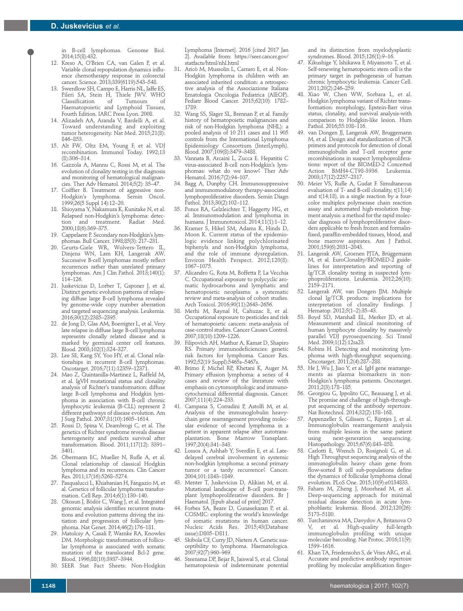in B-cell lymphomas. Genome Biol. 2014;15(8):432.

- 12. Kreso A, O'Brien CA, van Galen P, et al. Variable clonal repopulation dynamics influence chemotherapy response in colorectal cancer. Science. 2013;339(6119):543–548.
- 13. Swerdlow SH, Campo E, Harris NL, Jaffe ES, Pileri SA, Stein H, Thiele JWV. WHO<br>Classification of Tumours of Classification Haematopoietic and Lymphoid Tissues, Fourth Edition. IARC Press Lyon. 2008.
- 14. Alizadeh AA, Aranda V, Bardelli A, et al. Toward understanding and exploiting tumor heterogeneity. Nat Med. 2015;21(8): 846–853.
- 15. Alt FW, Oltz EM, Young F, et al. VDJ recombination. Immunol Today. 1992;13 (8):306–314.
- 16. Gazzola A, Mannu C, Rossi M, et al. The evolution of clonality testing in the diagnosis and monitoring of hematological malignancies. Ther Adv Hematol. 2014;5(2): 35–47.
- 17. Coiffier B. Treatment of aggressive non-<br>Hodgkin's lymphoma. Semin Oncol. Hodgkin's lymphoma. 1999;26(5 Suppl 14):12–20.
- 18. Shioyama Y, Nakamura K, Kunitake N, et al. Relapsed non-Hodgkin's lymphoma: detection and treatment. Radiat Med. 2000;18(6):369–375.
- 19. Cappelaere P. Secondary non-Hodgkin's lymphomas. Bull Cancer. 1998;85(3): 217–231.
- 20. Geurts-Giele WR, Wolvers-Tettero IL, Dinjens WN, Lam KH, Langerak AW. Successive B-cell lymphomas mostly reflect recurrences rather than unrelated primary lymphomas. Am J Clin Pathol. 2013;140(1):  $114 - 126$
- 21. Juskevicius D, Lorber T, Gsponer J, et al. Distinct genetic evolution patterns of relapsing diffuse large B-cell lymphoma revealed by genome-wide copy number aberration and targeted sequencing analysis. Leukemia. 2016;30(12):2385–2395.
- 22. de Jong D, Glas AM, Boerrigter L, et al. Very late relapse in diffuse large B-cell lymphoma represents clonally related disease and is marked by germinal center cell features. Blood. 2003;102(1):324–327.
- 23. Lee SE, Kang SY, Yoo HY, et al. Clonal relationships in recurrent B-cell lymphomas. Oncotarget. 2016;7(11):12359–12371.
- 24. Mao Z, Quintanilla-Martinez L, Raffeld M, et al. IgVH mutational status and clonality analysis of Richter's transformation: diffuse large B-cell lymphoma and Hodgkin lymphoma in association with B-cell chronic lymphocytic leukemia (B-CLL) represent 2 different pathways of disease evolution. Am J Surg Pathol. 2007;31(10):1605–1614.
- 25. Rossi D, Spina V, Deambrogi C, et al. The genetics of Richter syndrome reveals disease heterogeneity and predicts survival after transformation. Blood. 2011;117(12): 3391– 3401.
- 26. Obermann EC, Mueller N, Rufle A, et al. Clonal relationship of classical Hodgkin lymphoma and its recurrences. Clin Cancer Res. 2011;17(16):5268–5274.
- 27. Pasqualucci L, Khiabanian H, Fangazio M, et al. Genetics of follicular lymphoma transformation. Cell Rep. 2014;6(1):130–140.
- 28. Okosun J, Bödör C, Wang J, et al. Integrated genomic analysis identifies recurrent mutations and evolution patterns driving the initiation and progression of follicular lymphoma. Nat Genet. 2014;46(2):176–181.
- 29. Matolcsy A, Casali P, Warnke RA, Knowles DM. Morphologic transformation of follicular lymphoma is associated with somatic mutation of the translocated Bcl-2 gene. Blood. 1996;88(10):3937–3944.
- 30. SEER Stat Fact Sheets: Non-Hodgkin

Lymphoma [Internet]. 2016 [cited 2017 Jan 2]. Available from: https://seer.cancer.gov/ statfacts/html/nhl.html

- 31. Aricò M, Mussolin L, Carraro E, et al. Non-Hodgkin lymphoma in children with an associated inherited condition: a retrospective analysis of the Associazione Italiana Ematologia Oncologia Pediatrica (AIEOP). Pediatr Blood Cancer. 2015;62(10): 1782– 1789.
- 32. Wang SS, Slager SL, Brennan P, et al. Family history of hematopoietic malignancies and risk of non-Hodgkin lymphoma (NHL): a pooled analysis of 10 211 cases and 11 905 controls from the International Lymphoma Epidemiology Consortium (InterLymph). Blood. 2007;109(8):3479–3488.
- 33. Vannata B, Arcaini L, Zucca E. Hepatitis C virus-associated B-cell non-Hodgkin's lymphomas: what do we know? Ther Adv Hematol. 2016;7(2):94–107.
- 34. Bagg A, Dunphy CH. Immunosuppressive and immunomodulatory therapy-associated lymphoproliferative disorders. Semin Diagn Pathol. 2013;30(2):102–112.
- 35. Ponce RA, Gelzleichter T, Haggerty HG, et al. Immunomodulation and lymphoma in humans. J Immunotoxicol. 2014;11(1):1–12.
- 36. Kramer S, Hikel SM, Adams K, Hinds D, Moon K. Current status of the epidemiologic evidence linking polychlorinated biphenyls and non-Hodgkin lymphoma, and the role of immune dysregulation. Environ Health Perspect. 2012;120(8): 1067–1075.
- 37. Alicandro G, Rota M, Boffetta P, La Vecchia C. Occupational exposure to polycyclic aromatic hydrocarbons and lymphatic and hematopoietic neoplasms: a systematic review and meta-analysis of cohort studies. Arch Toxicol. 2016;90(11):2643–2656.
- 38. Merhi M, Raynal H, Cahuzac E, et al. Occupational exposure to pesticides and risk of hematopoietic cancers: meta-analysis of case-control studies. Cancer Causes Control. 2007;18(10):1209–1226.
- 39. Filipovich AH, Mathur A, Kamat D, Shapiro RS. Primary immunodeficiencies: genetic risk factors for lymphoma. Cancer Res. 1992;52(19 Suppl):5465s–5467s.
- Brimo F, Michel RP, Khetani K, Auger M. Primary effusion lymphoma: a series of 4 cases and review of the literature with emphasis on cytomorphologic and immunocytochemical differential diagnosis. Cancer. 2007;111(4):224–233.
- 41. Campana S, Corradini P, Astolfi M, et al. Analysis of the immunoglobulin heavychain gene rearrangement providing molecular evidence of second lymphoma in a patient in apparent relapse after autotransplantation. Bone Marrow Transplant. 1997;20(4):341–343.
- 42. Lossos A, Ashhab Y, Sverdlin E, et al. Latedelayed cerebral involvement in systemic non-hodgkin lymphoma: a second primary tumor or a tardy recurrence? Cancer. 2004;101:1843–1849.
- 43. Menter T, Juskevicius D, Alikian M, et al. Mutational landscape of B-cell post-transplant lymphoproliferative disorders. Br J Haematol. [Epub ahead of print] 2017.
- 44. Forbes SA, Beare D, Gunasekaran P, et al. COSMIC: exploring the world's knowledge of somatic mutations in human cancer. Nucleic Acids Res. 2015;43(Database issue):D805–D811.
- 45. Skibola CF, Curry JD, Nieters A. Genetic susceptibility to lymphoma. Haematologica. 2007;92(7):960–969.
- 46. Steensma DP, Bejar R, Jaiswal S, et al. Clonal hematopoiesis of indeterminate potential

and its distinction from myelodysplastic syndromes. Blood. 2015;126(1):9–16.

- 47. Kikushige Y, Ishikawa F, Miyamoto T, et al. Self-renewing hematopoietic stem cell is the primary target in pathogenesis of human chronic lymphocytic leukemia. Cancer Cell. 2011;20(2):246–259.
- 48. Xiao W, Chen WW, Sorbara L, et al. Hodgkin lymphoma variant of Richter transformation: morphology, Epstein-Barr virus status, clonality, and survival analysis-with comparison to Hodgkin-like lesion. Hum Pathol. 2016;55:108-116.
- 49. van Dongen JJ, Langerak AW, Bruggemann M, et al. Design and standardization of PCR primers and protocols for detection of clonal immunoglobulin and T-cell receptor gene recombinations in suspect lymphoproliferations: report of the BIOMED-2 Concerted<br>Action BMH4-CT98-3936. Leukemia. BMH4-CT98-3936. Leukemia. 2003;17(12):2257–2317.
- 50. Meier VS, Rufle A, Gudat F. Simultaneous evaluation of T- and B-cell clonality, t(11;14) and t(14;18), in a single reaction by a fourcolor multiplex polymerase chain reaction assay and automated high-resolution fragment analysis: a method for the rapid molecular diagnosis of lymphoproliferative disorders applicable to fresh frozen and formalinfixed, paraffin-embedded tissues, blood, and bone marrow aspirates. Am J Pathol. 2001;159(6):2031–2043.
- 51. Langerak AW, Groenen PJTA, Brüggemann M, et al. EuroClonality/BIOMED-2 guidelines for interpretation and reporting of Ig/TCR clonality testing in suspected lymphoproliferations. Leukemia. 2012;26(10): 2159–2171.
- 52. Langerak AW, van Dongen JJM. Multiple clonal Ig/TCR products: implications for interpretation of clonality findings. J Hematop. 2012;5(1–2):35–43.
- Boyd SD, Marshall EL, Merker JD, et al. Measurement and clinical monitoring of human lymphocyte clonality by massively parallel VDJ pyrosequencing. Sci Transl Med. 2009;1(12):12ra23.
- 54. Robins H. Detecting and monitoring lymphoma with high-throughput sequencing. Oncotarget. 2011;2(4):287–288.
- 55. He J, Wu J, Jiao Y, et al. IgH gene rearrangements as plasma biomarkers in non-Hodgkin's lymphoma patients. Oncotarget. 2011;2(3):178–185.
- 56. Georgiou G, Ippolito GC, Beausang J, et al. The promise and challenge of high-throughput sequencing of the antibody repertoire. Nat Biotechnol. 2014;32(2):158–168.
- 57. Appenzeller S, Gilissen C, Rijntjes J, et al. Immunoglobulin rearrangement analysis from multiple lesions in the same patient<br>using next-generation sequencing. using next-generation Histopathology. 2015;67(6):843–858.
- 58. Carlotti E, Wrench D, Rosignoli G, et al. High Throughput sequencing analysis of the immunoglobulin heavy chain gene from flow-sorted B cell sub-populations define the dynamics of follicular lymphoma clonal evolution. PLoS One. 2015;10(9):e0134833.
- 59. Faham M, Zheng J, Moorhead M, et al. Deep-sequencing approach for minimal residual disease detection in acute lymphoblastic leukemia. Blood. 2012;120(26): 5173–5180.
- 60. Turchaninova MA, Davydov A, Britanova O V, et al. High-quality full-length immunoglobulin profiling with unique molecular barcoding. Nat Protoc. 2016;11(9): 1599–1616.
- 61. Khan TA, Friedensohn S, de Vries ARG, et al. Accurate and predictive antibody repertoire profiling by molecular amplification finger-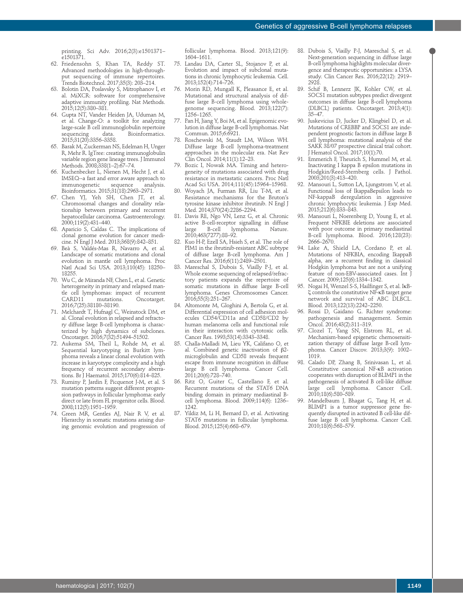printing. Sci Adv. 2016;2(3):e1501371– e1501371.

- 62. Friedensohn S, Khan TA, Reddy ST. Advanced methodologies in high-throughput sequencing of immune repertoires. Trends Biotechnol. 2017;35(3): 203–214.
- 63. Bolotin DA, Poslavsky S, Mitrophanov I, et al. MiXCR: software for comprehensive adaptive immunity profiling. Nat Methods. 2015;12(5):380–381.
- 64. Gupta NT, Vander Heiden JA, Uduman M, et al. Change-O: a toolkit for analyzing large-scale B cell immunoglobulin repertoire sequencing data. Bioinformatics. 2015;31(20):3356–3358.
- 65. Barak M, Zuckerman NS, Edelman H, Unger R, Mehr R. IgTree: creating immunoglobulin variable region gene lineage trees. J Immunol Methods. 2008;338(1–2):67–74.
- 66. Kuchenbecker L, Nienen M, Hecht J, et al. IMSEQ--a fast and error aware approach to immunogenetic Bioinformatics. 2015;31(18):2963–2971.
- 67. Chen YJ, Yeh SH, Chen JT, et al. Chromosomal changes and clonality relationship between primary and recurrent hepatocellular carcinoma. Gastroenterology. 2000;119(2):431–440.
- 68. Aparicio S, Caldas C. The implications of clonal genome evolution for cancer medicine. N Engl J Med. 2013;368(9):842–851.
- 69. Beà S, Valdés-Mas R, Navarro A, et al. Landscape of somatic mutations and clonal evolution in mantle cell lymphoma. Proc Natl Acad Sci USA. 2013;110(45): 18250– 18255.
- 70. Wu C, de Miranda NF, Chen L, et al. Genetic heterogeneity in primary and relapsed mantle cell lymphomas: impact of recurrent<br>CARD11 mutations. Oncotarget. mutations. 2016;7(25):38180–38190.
- 71. Melchardt T, Hufnagl C, Weinstock DM, et al. Clonal evolution in relapsed and refractory diffuse large B-cell lymphoma is characterized by high dynamics of subclones. Oncotarget. 2016;7(32):51494–51502.
- 72. Aukema SM, Theil L, Rohde M, et al. Sequential karyotyping in Burkitt lymphoma reveals a linear clonal evolution with increase in karyotype complexity and a high frequency of recurrent secondary aberrations. Br J Haematol. 2015;170(6):814–825.
- 73. Ruminy P, Jardin F, Picquenot J-M, et al. S mutation patterns suggest different progression pathways in follicular lymphoma: early direct or late from FL progenitor cells. Blood. 2008;112(5):1951–1959.
- 74. Green MR, Gentles AJ, Nair R V, et al. Hierarchy in somatic mutations arising during genomic evolution and progression of

follicular lymphoma. Blood. 2013;121(9): 1604–1611.

- 75. Landau DA, Carter SL, Stojanov P, et al. Evolution and impact of subclonal mutations in chronic lymphocytic leukemia. Cell. 2013;152(4):714–726.
- 76. Morin RD, Mungall K, Pleasance E, et al. Mutational and structural analysis of diffuse large B-cell lymphoma using wholegenome sequencing. Blood. 2013;122(7): 1256–1265.
- 77. Pan H, Jiang Y, Boi M, et al. Epigenomic evolution in diffuse large B-cell lymphomas. Nat Commun. 2015;6:6921.
- 78. Roschewski M, Staudt LM, Wilson WH. Diffuse large B-cell lymphoma-treatment approaches in the molecular era. Nat Rev Clin Oncol. 2014;11(1):12–23.
- 79. Bozic I, Nowak MA. Timing and heterogeneity of mutations associated with drug resistance in metastatic cancers. Proc Natl Acad Sci USA. 2014;111(45):15964–15968.
- 80. Woyach JA, Furman RR, Liu T-M, et al. Resistance mechanisms for the Bruton's tyrosine kinase inhibitor ibrutinib. N Engl J Med. 2014;370(24):2286–2294.
- 81. Davis RE, Ngo VN, Lenz G, et al. Chronic active B-cell-receptor signalling in diffuse<br>large B-cell lymphoma. Nature. large B-cell lymphoma. 2010;463(7277):88–92.
- 82. Kuo H-P, Ezell SA, Hsieh S, et al. The role of PIM1 in the ibrutinib-resistant ABC subtype of diffuse large B-cell lymphoma. Am J Cancer Res. 2016;6(11):2489–2501.
- 83. Mareschal S, Dubois S, Viailly P-J, et al. Whole exome sequencing of relapsed/refractory patients expands the repertoire of somatic mutations in diffuse large B-cell lymphoma. Genes Chromosomes Cancer. 2016;55(3):251–267.
- Altomonte M, Gloghini A, Bertola G, et al. Differential expression of cell adhesion molecules CD54/CD11a and CD58/CD2 by human melanoma cells and functional role in their interaction with cytotoxic cells. Cancer Res. 1993;53(14):3343–3348.
- 85. Challa-Malladi M, Lieu YK, Califano O, et al. Combined genetic inactivation of β2 microglobulin and CD58 reveals frequent escape from immune recognition in diffuse large B cell lymphoma. Cancer Cell. 2011;20(6):728–740.
- 86. Ritz O, Guiter C, Castellano F, et al. Recurrent mutations of the STAT6 DNA binding domain in primary mediastinal Bcell lymphoma. Blood. 2009;114(6): 1236– 1242.
- 87. Yildiz M, Li H, Bernard D, et al. Activating STAT6 mutations in follicular lymphoma. Blood. 2015;125(4):668–679.
- 88. Dubois S, Viailly P-J, Mareschal S, et al. Next-generation sequencing in diffuse large B-cell lymphoma highlights molecular divergence and therapeutic opportunities: a LYSA study. Clin Cancer Res. 2016;22(12): 2919– 2928.
- 89. Schif B, Lennerz JK, Kohler CW, et al. SOCS1 mutation subtypes predict divergent outcomes in diffuse large B-cell lymphoma (DLBCL) patients. Oncotarget. 2013;4(1):  $35 - 47$
- 90. Juskevicius D, Jucker D, Klingbiel D, et al. Mutations of CREBBP and SOCS1 are independent prognostic factors in diffuse large B cell lymphoma: mutational analysis of the SAKK 38/07 prospective clinical trial cohort. J Hematol Oncol. 2017;10(1):70.
- 91. Emmerich F, Theurich S, Hummel M, et al. Inactivating I kappa B epsilon mutations in Hodgkin/Reed-Sternberg cells. J Pathol. 2003;201(3):413–420.
- 92. Mansouri L, Sutton LA, Ljungstrom V, et al. Functional loss of IkappaBepsilon leads to NF-kappaB deregulation in aggressive chronic lymphocytic leukemia. J Exp Med. 2015;212(6):833–843.
- 93. Mansouri L, Noerenberg D, Young E, et al. Frequent NFKBIE deletions are associated with poor outcome in primary mediastinal B-cell lymphoma. Blood. 2016;128(23): 2666–2670.
- 94. Lake A, Shield LA, Cordano P, et al. Mutations of NFKBIA, encoding IkappaB alpha, are a recurrent finding in classical Hodgkin lymphoma but are not a unifying feature of non-EBV-associated cases. Int J Cancer. 2009;125(6):1334–1342.
- 95. Nogai H, Wenzel S-S, Hailfinger S, et al. IκBζ controls the constitutive NF-κB target gene network and survival of ABC DLBCL. Blood. 2013;122(13):2242–2250.
- 96. Rossi D, Gaidano G. Richter syndrome: pathogenesis and management. Semin Oncol. 2016;43(2):311–319.
- 97. Clozel T, Yang SN, Elstrom RL, et al. Mechanism-based epigenetic chemosensitization therapy of diffuse large B-cell lymphoma. Cancer Discov. 2013;3(9): 1002– 1019.
- 98. Calado DP, Zhang B, Srinivasan L, et al. Constitutive canonical NF-κB activation cooperates with disruption of BLIMP1 in the pathogenesis of activated B cell-like diffuse large cell lymphoma. Cancer Cell. 2010;18(6):580–589.
- 99. Mandelbaum J, Bhagat G, Tang H, et al. BLIMP1 is a tumor suppressor gene frequently disrupted in activated B cell-like diffuse large B cell lymphoma. Cancer Cell. 2010;18(6):568–579.